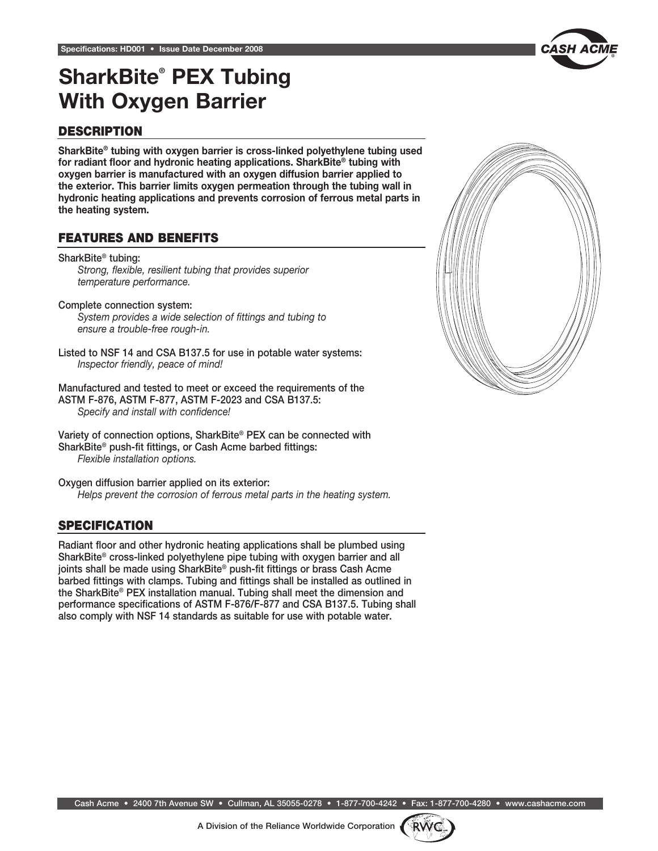

# SharkBite® PEX Tubing With Oxygen Barrier

## **DESCRIPTION**

SharkBite® tubing with oxygen barrier is cross-linked polyethylene tubing used for radiant floor and hydronic heating applications. SharkBite® tubing with oxygen barrier is manufactured with an oxygen diffusion barrier applied to the exterior. This barrier limits oxygen permeation through the tubing wall in hydronic heating applications and prevents corrosion of ferrous metal parts in the heating system.

## features and benefits

SharkBite® tubing: *Strong, flexible, resilient tubing that provides superior temperature performance.*

Complete connection system: *System provides a wide selection of fittings and tubing to ensure a trouble-free rough-in.*

Listed to NSF 14 and CSA B137.5 for use in potable water systems: *Inspector friendly, peace of mind!*

Manufactured and tested to meet or exceed the requirements of the ASTM F-876, ASTM F-877, ASTM F-2023 and CSA B137.5: *Specify and install with confidence!*

Variety of connection options, SharkBite® PEX can be connected with SharkBite® push-fit fittings, or Cash Acme barbed fittings: *Flexible installation options.*

Oxygen diffusion barrier applied on its exterior: *Helps prevent the corrosion of ferrous metal parts in the heating system.*

## **SPECIFICATION**

Radiant floor and other hydronic heating applications shall be plumbed using SharkBite® cross-linked polyethylene pipe tubing with oxygen barrier and all joints shall be made using SharkBite® push-fit fittings or brass Cash Acme barbed fittings with clamps. Tubing and fittings shall be installed as outlined in the SharkBite® PEX installation manual. Tubing shall meet the dimension and performance specifications of ASTM F-876/F-877 and CSA B137.5. Tubing shall also comply with NSF 14 standards as suitable for use with potable water.